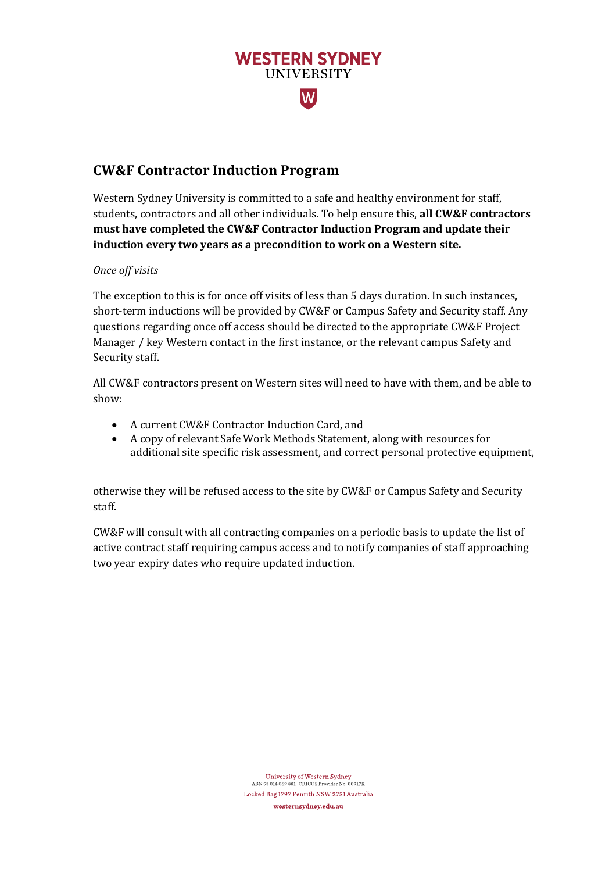

# **CW&F Contractor Induction Program**

Western Sydney University is committed to a safe and healthy environment for staff, students, contractors and all other individuals. To help ensure this, **all CW&F contractors must have completed the CW&F Contractor Induction Program and update their induction every two years as a precondition to work on a Western site.**

## *Once off visits*

The exception to this is for once off visits of less than 5 days duration. In such instances, short-term inductions will be provided by CW&F or Campus Safety and Security staff. Any questions regarding once off access should be directed to the appropriate CW&F Project Manager / key Western contact in the first instance, or the relevant campus Safety and Security staff.

All CW&F contractors present on Western sites will need to have with them, and be able to show:

- A current CW&F Contractor Induction Card, and
- A copy of relevant Safe Work Methods Statement, along with resources for additional site specific risk assessment, and correct personal protective equipment,

otherwise they will be refused access to the site by CW&F or Campus Safety and Security staff.

CW&F will consult with all contracting companies on a periodic basis to update the list of active contract staff requiring campus access and to notify companies of staff approaching two year expiry dates who require updated induction.

> University of Western Sydney ABN 53 014 069 881 CRICOS Provider No: 00917K Locked Bag 1797 Penrith NSW 2751 Australia westernsydney.edu.au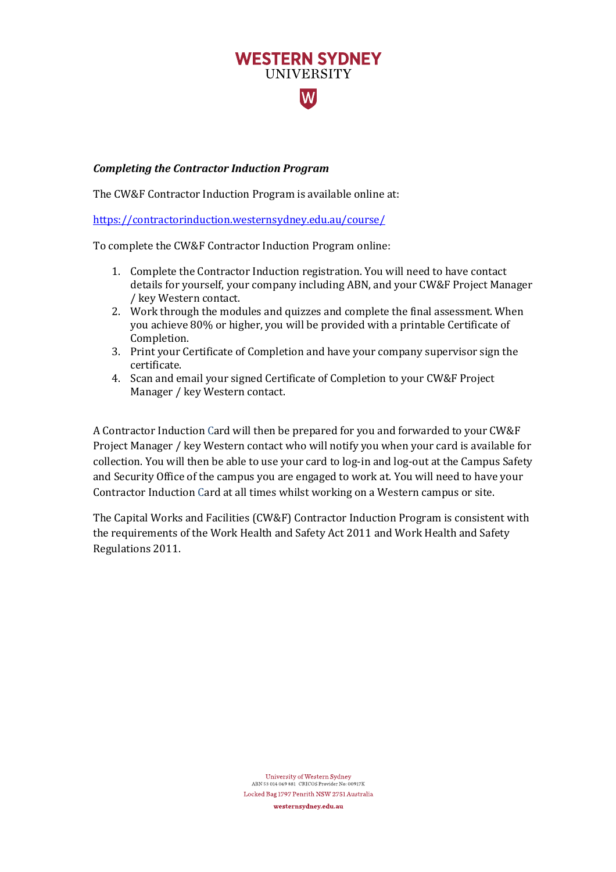# **WESTERN SYDNEY UNIVERSITY**  $\overline{\mathsf{W}}$

### *Completing the Contractor Induction Program*

The CW&F Contractor Induction Program is available online at:

<https://contractorinduction.westernsydney.edu.au/course/>

To complete the CW&F Contractor Induction Program online:

- 1. Complete the Contractor Induction registration. You will need to have contact details for yourself, your company including ABN, and your CW&F Project Manager / key Western contact.
- 2. Work through the modules and quizzes and complete the final assessment. When you achieve 80% or higher, you will be provided with a printable Certificate of Completion.
- 3. Print your Certificate of Completion and have your company supervisor sign the certificate.
- 4. Scan and email your signed Certificate of Completion to your CW&F Project Manager / key Western contact.

A Contractor Induction Card will then be prepared for you and forwarded to your CW&F Project Manager / key Western contact who will notify you when your card is available for collection. You will then be able to use your card to log-in and log-out at the Campus Safety and Security Office of the campus you are engaged to work at. You will need to have your Contractor Induction Card at all times whilst working on a Western campus or site.

The Capital Works and Facilities (CW&F) Contractor Induction Program is consistent with the requirements of the Work Health and Safety Act 2011 and Work Health and Safety Regulations 2011.

> University of Western Sydney ABN 53 014 069 881 CRICOS Provider No: 00917K Locked Bag 1797 Penrith NSW 2751 Australia westernsydney.edu.au